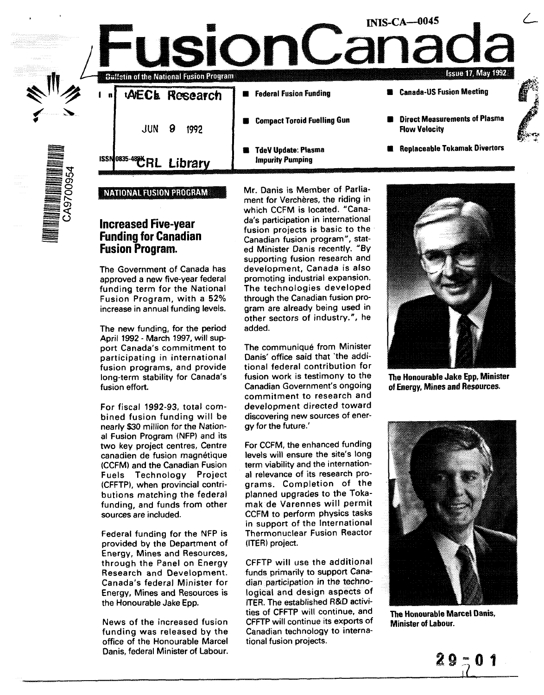|                   |     |                | <b>Buffetin of the National Fusion Program</b> |                                                       | <b>INIS-CA-0045</b><br><b>Issue 17, May 1992</b>             |  |
|-------------------|-----|----------------|------------------------------------------------|-------------------------------------------------------|--------------------------------------------------------------|--|
|                   | n l |                | AECL Research                                  | <b>Federal Fusion Funding</b><br>a sa sa              | <b>E</b> Canada-US Fusion Meeting                            |  |
|                   |     | JUN            | 9<br>1992                                      | <b>Compact Toroid Fuelling Gun</b>                    | <b>Direct Measurements of Plasma</b><br><b>Flow Velocity</b> |  |
| 高音賞<br>954<br>954 |     | ISSN0835-48%R' | Library                                        | <b>TdeV Update: Plasma</b><br><b>Impurity Pumping</b> | <b>Replaceable Tokamak Divertors</b>                         |  |
|                   |     |                |                                                |                                                       |                                                              |  |

### NATIONAL FUSION PROGRAM?

## **Increased Five-year Funding for Canadian Fusion Program.**

**5 O** ffe  $\breve{\mathcal{E}}$ 

> The Government of Canada has approved a new five-year federal funding term for the National Fusion Program, with a 52% increase in annual funding levels.

> The new funding, for the period April 1992 - March 1997, will support Canada's commitment to participating in international fusion programs, and provide long-term stability for Canada's fusion effort.

For fiscal 1992-93, total combined fusion funding will be nearly \$30 million for the National Fusion Program (NFP) and its two key project centres, Centre canadien de fusion magnétique (CCFM) and the Canadian Fusion Fuels Technology Project (CFFTP), when provincial contributions matching the federal funding, and funds from other sources are included.

Federal funding for the NFP is provided by the Department of Energy, Mines and Resources, through the Panel on Energy Research and Development. Canada's federal Minister for Energy, Mines and Resources is the Honourable Jake Epp.

News of the increased fusion funding was released by the office of the Honourable Marcel Danis, federal Minister of Labour.

Mr. Danis is Member of Parliament for Verchères, the riding in which CCFM is located. "Canada's participation in international fusion projects is basic to the Canadian fusion program", stated Minister Danis recently. "By supporting fusion research and development, Canada is also promoting industrial expansion. The technologies developed through the Canadian fusion program are already being used in other sectors of industry.", he added.

The communique from Minister Danis' office said that 'the additional federal contribution for fusion work is testimony to the Canadian Government's ongoing commitment to research and development directed toward discovering new sources of energy for the future.'

For CCFM, the enhanced funding levels will ensure the site's long term viability and the international relevance of its research programs. Completion of the planned upgrades to the Tokamak de Varennes will permit CCFM to perform physics tasks in support of the International Thermonuclear Fusion Reactor (ITER) project.

CFFTP will use the additional funds primarily to support Canadian participation in the technological and design aspects of ITER. The established R&D activities of CFFTP will continue, and CFFTP will continue its exports of Canadian technology to international fusion projects.



The Honourable Jake Epp, Minister of Energy, Mines and Resources.



The Honourable Marcel Danis, Minister of Labour.

Z 9

1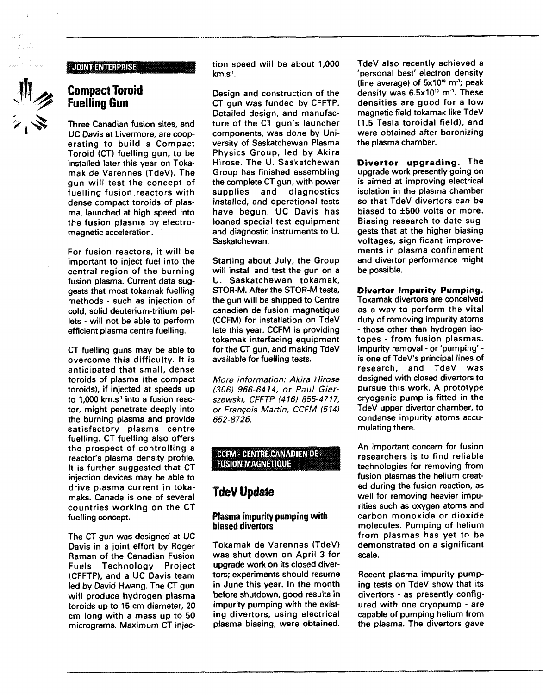#### **JOINT ENTERPRISE:**



## **Compact Toroid Fuelling Gun**

Three Canadian fusion sites, and UC Davis at Livermore, are cooperating to build a Compact Toroid (CT) fuelling gun, to be installed later this year on Tokamak de Varennes (TdeV). The gun will test the concept of fuelling fusion reactors with dense compact toroids of plasma, launched at high speed into the fusion plasma by electromagnetic acceleration.

For fusion reactors, it will be important to inject fuel into the central region of the burning fusion plasma. Current data suggests that most tokamak fuelling methods - such as injection of cold, solid deuterium-tritium pellets - will not be able to perform efficient plasma centre fuelling.

CT fuelling guns may be able to overcome this difficulty. It is anticipated that small, dense toroids of plasma (the compact toroids), if injected at speeds up to 1,000 km.s<sup>1</sup> into a fusion reactor, might penetrate deeply into the burning plasma and provide satisfactory plasma centre fuelling. CT fuelling also offers the prospect of controlling a reactor's plasma density profile. It is further suggested that CT injection devices may be able to drive plasma current in tokamaks. Canada is one of several countries working on the CT fuelling concept.

The CT gun was designed at UC Davis in a joint effort by Roger Raman of the Canadian Fusion Fuels Technology Project (CFFTP), and a UC Davis team led by David Hwang. The CT gun will produce hydrogen plasma toroids up to 15 cm diameter, 20 cm long with a mass up to 50 micrograms. Maximum CT injection speed will be about 1,000 km.s'.

Design and construction of the CT gun was funded by CFFTP. Detailed design, and manufacture of the CT gun's launcher components, was done by University of Saskatchewan Plasma Physics Group, led by Akira Hirose. The U. Saskatchewan Group has finished assembling the complete CT gun, with power supplies and diagnostics installed, and operational tests have begun. UC Davis has loaned special test equipment and diagnostic instruments to U. Saskatchewan.

Starting about July, the Group will install and test the gun on a U. Saskatchewan tokamak, STOR-M. After the STOR-M tests, the gun will be shipped to Centre canadien de fusion magnetique (CCFM) for installation on TdeV late this year. CCFM is providing tokamak interfacing equipment for the CT gun, and making TdeV available for fuelling tests.

More information: Akira Hirose (306) 966-6414, or Paul Gierszewski, CFFTP (416) 855-4717, or Francois Martin, CCFM (514) 652-8726.

### CCFM - CENTRE CANADIEN DE **FUSION MAGNETIQUE**

# **TdeV Update**

### **Plasma impurity pumping with biased divertors**

Tokamak de Varennes (TdeV) was shut down on April 3 for upgrade work on its closed divertors; experiments should resume in June this year. In the month before shutdown, good results in impurity pumping with the existing divertors, using electrical plasma biasing, were obtained.

TdeV also recently achieved a 'personal best' electron density (line average) of 5x10<sup>®</sup> m<sup>3</sup>; peak density was  $6.5x10<sup>19</sup>$  m<sup>3</sup>. These densities are good for a low magnetic field tokamak like TdeV (1.5 Tesla toroidal field), and were obtained after boronizing the plasma chamber.

**Divertor upgrading.** The upgrade work presently going on is aimed at improving electrical isolation in the plasma chamber so that TdeV divertors can be biased to ±500 volts or more. Biasing research to date suggests that at the higher biasing voltages, significant improvements in plasma confinement and divertor performance might be possible.

**Divertor Impurity Pumping.** Tokamak divertors are conceived

as a way to perform the vital duty of removing impurity atoms - those other than hydrogen isotopes - from fusion plasmas. Impurity removal - or 'pumping' is one of TdeV's principal lines of research, and TdeV was designed with closed divertors to pursue this work. A prototype cryogenic pump is fitted in the TdeV upper divertor chamber, to condense impurity atoms accumulating there.

An important concern for fusion researchers is to find reliable technologies for removing from fusion plasmas the helium created during the fusion reaction, as well for removing heavier impurities such as oxygen atoms and carbon monoxide or dioxide molecules. Pumping of helium from plasmas has yet to be demonstrated on a significant scale.

Recent plasma impurity pumping tests on TdeV show that its divertors - as presently configured with one cryopump - are capable of pumping helium from the plasma. The divertors gave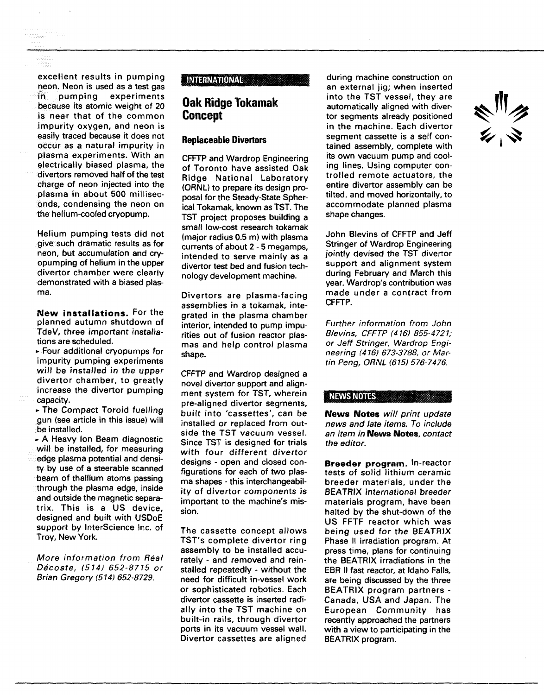excellent results in pumping neon. Neon is used as a test gas<br>in pumping experiments In pumping experiments because its atomic weight of 20 is near that of the common impurity oxygen, and neon is easily traced because it does not occur as a natural impurity in piasma experiments. With an electrically biased plasma, the divertors removed half of the test charge of neon injected into the plasma in about 500 milliseconds, condensing the neon on the helium-cooled cryopump.

Helium pumping tests did not give such dramatic results as for neon, but accumulation and cryopumping of helium in the upper divertor chamber were clearly demonstrated with a biased plasma.

**New installations.** For the planned autumn shutdown of TdeV, three important installations are scheduled.

• Four additional cryopumps for impurity pumping experiments will be installed in the upper divertor chamber, to greatly increase the divertor pumping capacity.

• The Compact Toroid fuelling gun (see article in this issue) will be installed.

• A Heavy Ion Beam diagnostic will be installed, for measuring edge plasma potential and density by use of a steerable scanned beam of thallium atoms passing through the plasma edge, inside and outside the magnetic separatrix. This is a US device, designed and built with USDoE support by InterScience Inc. of Troy, New York.

More information from Real Decoste, (514) 652-8715 or Brian Gregory (514) 652-8729.

### **INTERNATIONAL**

## **Oak Ridge Tokamak Concept**

### **Replaceable Divertors**

CFFTP and Wardrop Engineering of Toronto have assisted Oak Ridge National Laboratory (ORNL) to prepare its design proposal for the Steady-State Spherical Tokamak, known as TST. The TST project proposes building a small low-cost research tokamak (major radius 0.5 m) with plasma currents of about 2 - 5 megamps, intended to serve mainly as a divertor test bed and fusion technology development machine.

Divertors are plasma-facing assemblies in a tokamak, integrated in the plasma chamber interior, intended to pump impurities out of fusion reactor plasmas and help control plasma shape.

CFFTP and Wardrop designed a novel divertor support and alignment system for TST, wherein pre-aligned divertor segments, built into 'cassettes', can be installed or replaced from outside the TST vacuum vessel. Since TST is designed for trials with four different divertor designs - open and closed configurations for each of two plasma shapes - this interchangeability of divertor components is important to the machine's mission.

The cassette concept allows TST's complete divertor ring assembly to be installed accurately - and removed and reinstalled repeatedly - without the need for difficult in-vessel work or sophisticated robotics. Each divertor cassette is inserted radially into the TST machine on built-in rails, through divertor ports in its vacuum vessel wall. Divertor cassettes are aligned

during machine construction on an external jig; when inserted into the TST vessel, they are automatically aligned with divertor segments already positioned in the machine. Each divertor segment cassette is a self contained assembly, complete with its own vacuum pump and cooling lines. Using computer controlled remote actuators, the entire divertor assembly can be tilted, and moved horizontally, to accommodate planned plasma shape changes.

John Blevins of CFFTP and Jeff Stringer of Wardrop Engineering jointly devised the TST divertor support and alignment system during February and March this year. Wardrop's contribution was made under a contract from CFFTP.

Further information from John Blevins, CFFTP (416) 855-4721; or Jeff Stringer, Wardrop Engineering (416) 673-3788, or Martin Peng, ORNL (615) 576-7476.

#### NEWS NOTES

**News Notes** will print update news and late items. To include an item in **News Notes,** contact the editor.

**Breeder program.** In-reactor tests of solid lithium ceramic breeder materials, under the BEATRIX international breeder materials program, have been halted by the shut-down of the US FFTF reactor which was being used for the BEATRIX Phase II irradiation program. At press time, plans for continuing the BEATRIX irradiations in the EBR II fast reactor, at Idaho Falls, are being discussed by the three BEATRIX program partners - Canada, USA and Japan. The European Community has recently approached the partners with a view to participating in the BEATRIX program.

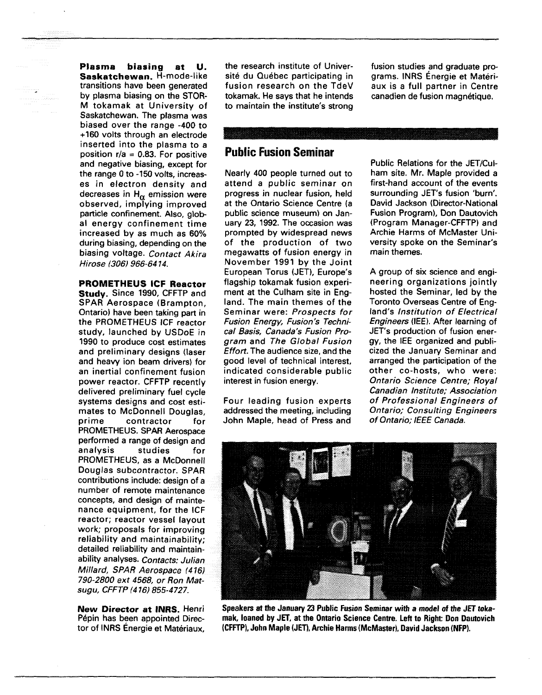**Plasma biasing at U. Saskatchewan.** H-mode-like transitions have been generated by plasma biasing on the STOR-M tokamak at University of Saskatchewan. The plasma was biased over the range -400 to +160 volts through an electrode inserted into the plasma to a position  $r/a = 0.83$ . For positive and negative biasing, except for the range 0 to -150 volts, increases in electron density and decreases in  $H_{\alpha}$  emission were observed, implying improved particle confinement. Also, global energy confinement time increased by as much as 60% during biasing, depending on the biasing voltage. Contact Akira Hirose (306) 966-64 14.

**PROMETHEUS ICF Reactor Study.** Since 1990, CFFTP and SPAR Aerospace (Brampton, Ontario) have been taking part in the PROMETHEUS ICF reactor study, launched by USDoE in 1990 to produce cost estimates and preliminary designs (laser and heavy ion beam drivers) for an inertial confinement fusion power reactor. CFFTP recently delivered preliminary fuel cycle systems designs and cost estimates to McDonnell Douglas, prime contractor for PROMETHEUS. SPAR Aerospace performed a range of design and analysis studies for PROMETHEUS, as a McDonnell Douglas subcontractor. SPAR contributions include: design of a number of remote maintenance concepts, and design of maintenance equipment, for the ICF reactor; reactor vessel layout work; proposals for improving reliability and maintainability; detailed reliability and maintainability analyses. Contacts: Julian Millard, SPAR Aerospace (416) 790-2800 ext 4568, or Ron Matsugu, CFFTP (416) 855-4727.

**New Director at INRS.** Henri Pépin has been appointed Director of INRS Energie et Matériaux,

the research institute of Université du Québec participating in fusion research on the TdeV tokamak. He says that he intends to maintain the institute's strong fusion studies and graduate programs. INRS Energie et Materiaux is a full partner in Centre canadien de fusion magnetique.

# **Public Fusion Seminar**

Nearly 400 people turned out to attend a public seminar on progress in nuclear fusion, held at the Ontario Science Centre (a public science museum) on January 23, 1992. The occasion was prompted by widespread news of the production of two megawatts of fusion energy in November 1991 by the Joint European Torus (JET), Europe's flagship tokamak fusion experiment at the Culham site in England. The main themes of the Seminar were: Prospects for Fusion Energy, Fusion's Technical Basis, Canada's Fusion Program and The Global Fusion Effort. The audience size, and the good level of technical interest, indicated considerable public interest in fusion energy.

Four leading fusion experts addressed the meeting, including John Maple, head of Press and Public Relations for the JET/Culham site. Mr. Maple provided a first-hand account of the events surrounding JET's fusion 'burn'. David Jackson (Director-National Fusion Program), Don Dautovich (Program Manager-CFFTP) and Archie Harms of McMaster University spoke on the Seminar's main themes.

A group of six science and engineering organizations jointly hosted the Seminar, led by the Toronto Overseas Centre of England's Institution of Electrical Engineers (IEE). After learning of JET's production of fusion energy, the IEE organized and publicized the January Seminar and arranged the participation of the other co-hosts, who were: Ontario Science Centre; Royal Canadian Institute; Association of Professional Engineers of Ontario; Consulting Engineers of Ontario; IEEE Canada.



Speakers at the January 23 Public Fusion Seminar with a model of the JET tokamak, loaned by JET, at the Ontario Science Centre. Left to Right: Don Dautovich (CFFTP), John Maple (JET), Archie Harms (McMaster), David Jackson **(NFP).**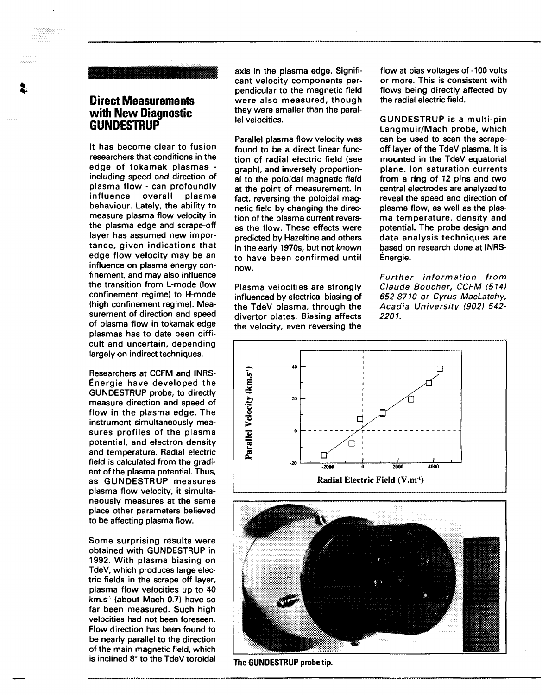## **Direct Measurements with New Diagnostic GUNDESTRUP**

**t**

It has become clear to fusion researchers that conditions in the edge of tokamak plasmas including speed and direction of plasma flow - can profoundly<br>influence overall plasma influence behaviour. Lately, the ability to measure plasma flow velocity in the plasma edge and scrape-off layer has assumed new importance, given indications that edge flow velocity may be an influence on plasma energy confinement, and may also influence the transition from L-mode (low confinement regime) to H-mode (high confinement regime). Measurement of direction and speed of plasma flow in tokamak edge plasmas has to date been difficult and uncertain, depending largely on indirect techniques.

Researchers at CCFM and INRS-Energie have developed the GUNDESTRUP probe, to directly measure direction and speed of flow in the plasma edge. The instrument simultaneously measures profiles of the plasma potential, and electron density and temperature. Radial electric field is calculated from the gradient of the plasma potential. Thus, as GUNDESTRUP measures plasma flow velocity, it simultaneously measures at the same place other parameters believed to be affecting plasma flow.

Some surprising results were obtained with GUNDESTRUP in 1992. With plasma biasing on TdeV, which produces large electric fields in the scrape off layer, plasma flow velocities up to 40 .<br>km.s<sup>.</sup>1 (about Mach 0.7) have so far been measured. Such high velocities had not been foreseen. Flow direction has been found to be nearly parallel to the direction of the main magnetic field, which is inclined 8° to the TdeV toroidal

axis in the plasma edge. Significant velocity components perpendicular to the magnetic field were also measured, though they were smaller than the parallel velocities.

Parallel plasma flow velocity was found to be a direct linear function of radial electric field (see graph), and inversely proportional to the poloidal magnetic field at the point of measurement. In fact, reversing the poloidal magnetic field by changing the direction of the plasma current reverses the flow. These effects were predicted by Hazeltine and others in the early 1970s, but not known to have been confirmed until now.

Plasma velocities are strongly influenced by electrical biasing of the TdeV plasma, through the divertor plates. Biasing affects the velocity, even reversing the

flow at bias voltages of -100 volts or more. This is consistent with flows being directly affected by the radial electric field.

GUNDESTRUP is a multi-pin Langmuir/Mach probe, which can be used to scan the scrapeoff layer of the TdeV plasma. It is mounted in the TdeV equatorial plane. Ion saturation currents from a ring of 12 pins and two central electrodes are analyzed to reveal the speed and direction of plasma flow, as well as the plasma temperature, density and potential. The probe design and data analysis techniques are based on research done at INRS-Energie.

Further information from Claude Boucher, CCFM (514) 652-8710 or Cyrus MacLatchy, Acadia University (902) 542- 2201.



The GUNDESTRUP probe tip.